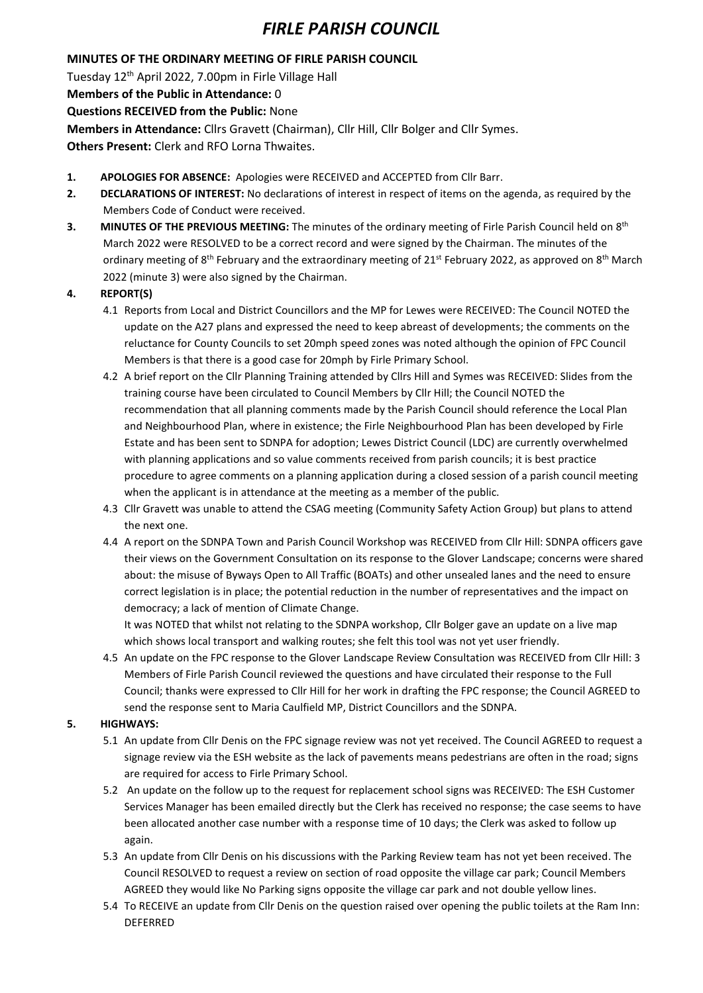## *FIRLE PARISH COUNCIL*

#### **MINUTES OF THE ORDINARY MEETING OF FIRLE PARISH COUNCIL**

Tuesday 12th April 2022, 7.00pm in Firle Village Hall

**Members of the Public in Attendance:** 0

**Questions RECEIVED from the Public:** None

**Members in Attendance:** Cllrs Gravett (Chairman), Cllr Hill, Cllr Bolger and Cllr Symes.

**Others Present:** Clerk and RFO Lorna Thwaites.

- **1. APOLOGIES FOR ABSENCE:** Apologies were RECEIVED and ACCEPTED from Cllr Barr.
- **2. DECLARATIONS OF INTEREST:** No declarations of interest in respect of items on the agenda, as required by the Members Code of Conduct were received.
- **3.** MINUTES OF THE PREVIOUS MEETING: The minutes of the ordinary meeting of Firle Parish Council held on 8<sup>th</sup> March 2022 were RESOLVED to be a correct record and were signed by the Chairman. The minutes of the ordinary meeting of 8<sup>th</sup> February and the extraordinary meeting of 21<sup>st</sup> February 2022, as approved on 8<sup>th</sup> March 2022 (minute 3) were also signed by the Chairman.

### **4. REPORT(S)**

- 4.1 Reports from Local and District Councillors and the MP for Lewes were RECEIVED: The Council NOTED the update on the A27 plans and expressed the need to keep abreast of developments; the comments on the reluctance for County Councils to set 20mph speed zones was noted although the opinion of FPC Council Members is that there is a good case for 20mph by Firle Primary School.
- 4.2 A brief report on the Cllr Planning Training attended by Cllrs Hill and Symes was RECEIVED: Slides from the training course have been circulated to Council Members by Cllr Hill; the Council NOTED the recommendation that all planning comments made by the Parish Council should reference the Local Plan and Neighbourhood Plan, where in existence; the Firle Neighbourhood Plan has been developed by Firle Estate and has been sent to SDNPA for adoption; Lewes District Council (LDC) are currently overwhelmed with planning applications and so value comments received from parish councils; it is best practice procedure to agree comments on a planning application during a closed session of a parish council meeting when the applicant is in attendance at the meeting as a member of the public.
- 4.3 Cllr Gravett was unable to attend the CSAG meeting (Community Safety Action Group) but plans to attend the next one.
- 4.4 A report on the SDNPA Town and Parish Council Workshop was RECEIVED from Cllr Hill: SDNPA officers gave their views on the Government Consultation on its response to the Glover Landscape; concerns were shared about: the misuse of Byways Open to All Traffic (BOATs) and other unsealed lanes and the need to ensure correct legislation is in place; the potential reduction in the number of representatives and the impact on democracy; a lack of mention of Climate Change.

It was NOTED that whilst not relating to the SDNPA workshop, Cllr Bolger gave an update on a live map which shows local transport and walking routes; she felt this tool was not yet user friendly.

4.5 An update on the FPC response to the Glover Landscape Review Consultation was RECEIVED from Cllr Hill: 3 Members of Firle Parish Council reviewed the questions and have circulated their response to the Full Council; thanks were expressed to Cllr Hill for her work in drafting the FPC response; the Council AGREED to send the response sent to Maria Caulfield MP, District Councillors and the SDNPA.

### **5. HIGHWAYS:**

- 5.1 An update from Cllr Denis on the FPC signage review was not yet received. The Council AGREED to request a signage review via the ESH website as the lack of pavements means pedestrians are often in the road; signs are required for access to Firle Primary School.
- 5.2 An update on the follow up to the request for replacement school signs was RECEIVED: The ESH Customer Services Manager has been emailed directly but the Clerk has received no response; the case seems to have been allocated another case number with a response time of 10 days; the Clerk was asked to follow up again.
- 5.3 An update from Cllr Denis on his discussions with the Parking Review team has not yet been received. The Council RESOLVED to request a review on section of road opposite the village car park; Council Members AGREED they would like No Parking signs opposite the village car park and not double yellow lines.
- 5.4 To RECEIVE an update from Cllr Denis on the question raised over opening the public toilets at the Ram Inn: DEFERRED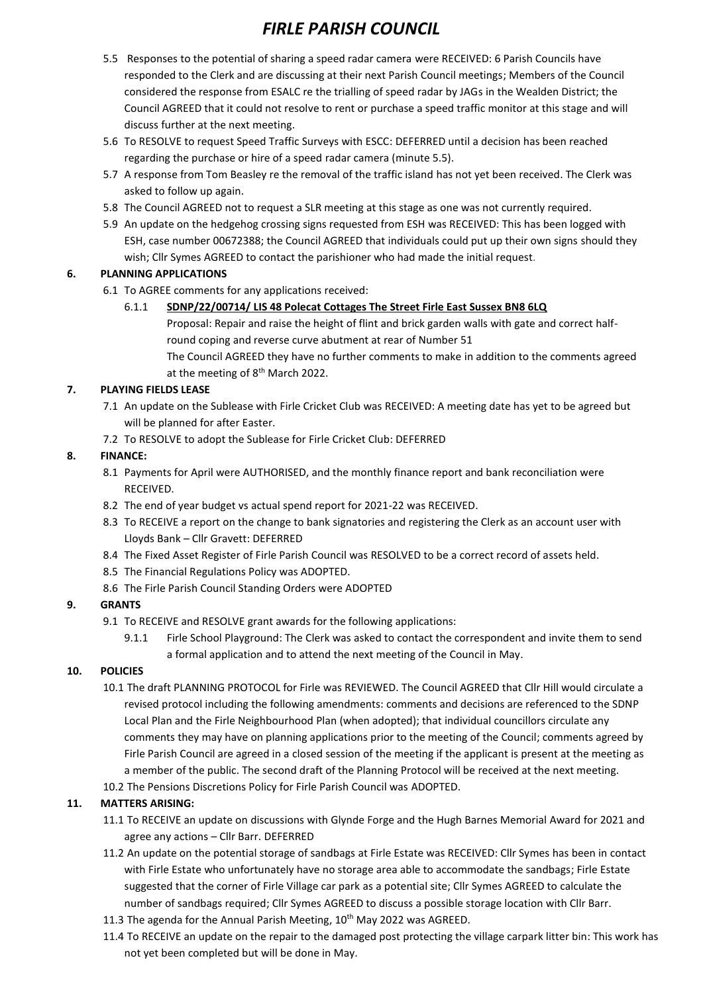# *FIRLE PARISH COUNCIL*

- 5.5 Responses to the potential of sharing a speed radar camera were RECEIVED: 6 Parish Councils have responded to the Clerk and are discussing at their next Parish Council meetings; Members of the Council considered the response from ESALC re the trialling of speed radar by JAGs in the Wealden District; the Council AGREED that it could not resolve to rent or purchase a speed traffic monitor at this stage and will discuss further at the next meeting.
- 5.6 To RESOLVE to request Speed Traffic Surveys with ESCC: DEFERRED until a decision has been reached regarding the purchase or hire of a speed radar camera (minute 5.5).
- 5.7 A response from Tom Beasley re the removal of the traffic island has not yet been received. The Clerk was asked to follow up again.
- 5.8 The Council AGREED not to request a SLR meeting at this stage as one was not currently required.
- 5.9 An update on the hedgehog crossing signs requested from ESH was RECEIVED: This has been logged with ESH, case number 00672388; the Council AGREED that individuals could put up their own signs should they wish; Cllr Symes AGREED to contact the parishioner who had made the initial request.

#### **6. PLANNING APPLICATIONS**

- 6.1 To AGREE comments for any applications received:
	- 6.1.1 **SDNP/22/00714/ LIS 48 Polecat Cottages The Street Firle East Sussex BN8 6LQ** 
		- Proposal: Repair and raise the height of flint and brick garden walls with gate and correct halfround coping and reverse curve abutment at rear of Number 51
		- The Council AGREED they have no further comments to make in addition to the comments agreed at the meeting of 8<sup>th</sup> March 2022.

#### **7. PLAYING FIELDS LEASE**

- 7.1 An update on the Sublease with Firle Cricket Club was RECEIVED: A meeting date has yet to be agreed but will be planned for after Easter.
- 7.2 To RESOLVE to adopt the Sublease for Firle Cricket Club: DEFERRED

#### **8. FINANCE:**

- 8.1 Payments for April were AUTHORISED, and the monthly finance report and bank reconciliation were RECEIVED.
- 8.2 The end of year budget vs actual spend report for 2021-22 was RECEIVED.
- 8.3 To RECEIVE a report on the change to bank signatories and registering the Clerk as an account user with Lloyds Bank – Cllr Gravett: DEFERRED
- 8.4 The Fixed Asset Register of Firle Parish Council was RESOLVED to be a correct record of assets held.
- 8.5 The Financial Regulations Policy was ADOPTED.
- 8.6 The Firle Parish Council Standing Orders were ADOPTED

#### **9. GRANTS**

- 9.1 To RECEIVE and RESOLVE grant awards for the following applications:
	- 9.1.1 Firle School Playground: The Clerk was asked to contact the correspondent and invite them to send a formal application and to attend the next meeting of the Council in May.

#### **10. POLICIES**

- 10.1 The draft PLANNING PROTOCOL for Firle was REVIEWED. The Council AGREED that Cllr Hill would circulate a revised protocol including the following amendments: comments and decisions are referenced to the SDNP Local Plan and the Firle Neighbourhood Plan (when adopted); that individual councillors circulate any comments they may have on planning applications prior to the meeting of the Council; comments agreed by Firle Parish Council are agreed in a closed session of the meeting if the applicant is present at the meeting as a member of the public. The second draft of the Planning Protocol will be received at the next meeting.
- 10.2 The Pensions Discretions Policy for Firle Parish Council was ADOPTED.

#### **11. MATTERS ARISING:**

- 11.1 To RECEIVE an update on discussions with Glynde Forge and the Hugh Barnes Memorial Award for 2021 and agree any actions – Cllr Barr. DEFERRED
- 11.2 An update on the potential storage of sandbags at Firle Estate was RECEIVED: Cllr Symes has been in contact with Firle Estate who unfortunately have no storage area able to accommodate the sandbags; Firle Estate suggested that the corner of Firle Village car park as a potential site; Cllr Symes AGREED to calculate the number of sandbags required; Cllr Symes AGREED to discuss a possible storage location with Cllr Barr.
- 11.3 The agenda for the Annual Parish Meeting, 10<sup>th</sup> May 2022 was AGREED.
- 11.4 To RECEIVE an update on the repair to the damaged post protecting the village carpark litter bin: This work has not yet been completed but will be done in May.